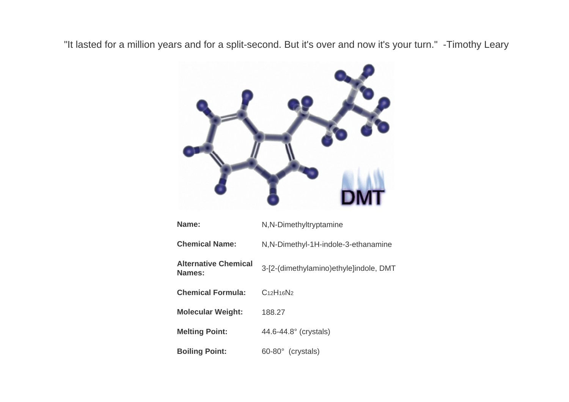"It lasted for a million years and for a split-second. But it's over and now it's your turn." -Timothy Leary

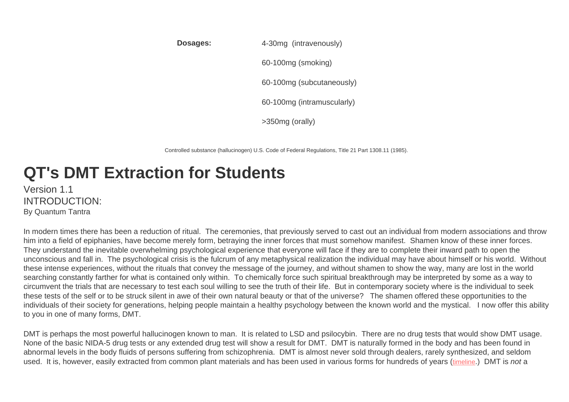**Dosages:** 4-30mg (intravenously)

60-100mg (smoking)

60-100mg (subcutaneously)

60-100mg (intramuscularly)

>350mg (orally)

Controlled substance (hallucinogen) U.S. Code of Federal Regulations, Title 21 Part 1308.11 (1985).

# **QT's DMT Extraction for Students**

Version 1.1 INTRODUCTION: By Quantum Tantra

In modern times there has been a reduction of ritual. The ceremonies, that previously served to cast out an individual from modern associations and throw him into a field of epiphanies, have become merely form, betraying the inner forces that must somehow manifest. Shamen know of these inner forces. They understand the inevitable overwhelming psychological experience that everyone will face if they are to complete their inward path to open the unconscious and fall in. The psychological crisis is the fulcrum of any metaphysical realization the individual may have about himself or his world. Without these intense experiences, without the rituals that convey the message of the journey, and without shamen to show the way, many are lost in the world searching constantly farther for what is contained only within. To chemically force such spiritual breakthrough may be interpreted by some as a way to circumvent the trials that are necessary to test each soul willing to see the truth of their life. But in contemporary society where is the individual to seek these tests of the self or to be struck silent in awe of their own natural beauty or that of the universe? The shamen offered these opportunities to the individuals of their society for generations, helping people maintain a healthy psychology between the known world and the mystical. I now offer this ability to you in one of many forms, DMT.

DMT is perhaps the most powerful hallucinogen known to man. It is related to LSD and psilocybin. There are no drug tests that would show DMT usage. None of the basic NIDA-5 drug tests or any extended drug test will show a result for DMT. DMT is naturally formed in the body and has been found in abnormal levels in the body fluids of persons suffering from schizophrenia. DMT is almost never sold through dealers, rarely synthesized, and seldom used. It is, however, easily extracted from common plant materials and has been used in various forms for hundreds of years ([timeline](http://www.erowid.org/chemicals/dmt/dmt_timeline.php3).) DMT is *not* a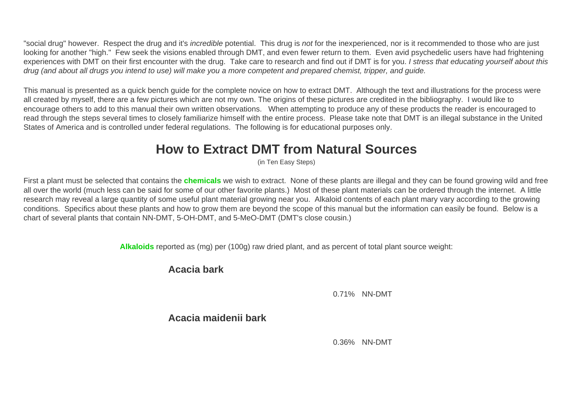"social drug" however. Respect the drug and it's *incredible* potential. This drug is *not* for the inexperienced, nor is it recommended to those who are just looking for another "high." Few seek the visions enabled through DMT, and even fewer return to them. Even avid psychedelic users have had frightening experiences with DMT on their first encounter with the drug. Take care to research and find out if DMT is for you. *I stress that educating yourself about this drug (and about all drugs you intend to use) will make you a more competent and prepared chemist, tripper, and guide.*

This manual is presented as a quick bench guide for the complete novice on how to extract DMT. Although the text and illustrations for the process were all created by myself, there are a few pictures which are not my own. The origins of these pictures are credited in the bibliography. I would like to encourage others to add to this manual their own written observations. When attempting to produce any of these products the reader is encouraged to read through the steps several times to closely familiarize himself with the entire process. Please take note that DMT is an illegal substance in the United States of America and is controlled under federal regulations. The following is for educational purposes only.

### **How to Extract DMT from Natural Sources**

(in Ten Easy Steps)

First a plant must be selected that contains the **chemicals** we wish to extract. None of these plants are illegal and they can be found growing wild and free all over the world (much less can be said for some of our other favorite plants.) Most of these plant materials can be ordered through the internet. A little research may reveal a large quantity of some useful plant material growing near you. Alkaloid contents of each plant mary vary according to the growing conditions. Specifics about these plants and how to grow them are beyond the scope of this manual but the information can easily be found. Below is a chart of several plants that contain NN-DMT, 5-OH-DMT, and 5-MeO-DMT (DMT's close cousin.)

**Alkaloids** reported as (mg) per (100g) raw dried plant, and as percent of total plant source weight:

**Acacia bark**

0.71% NN-DMT

**Acacia maidenii bark**

0.36% NN-DMT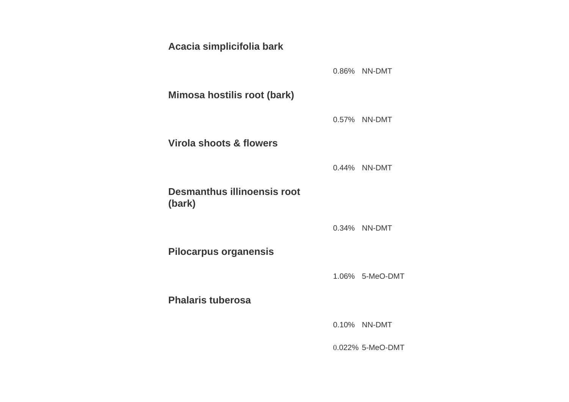**Acacia simplicifolia bark**

0.86% NN-DMT

**Mimosa hostilis root (bark)**

0.57% NN-DMT

**Virola shoots & flowers**

0.44% NN-DMT

**Desmanthus illinoensis root (bark)**

0.34% NN-DMT

**Pilocarpus organensis**

1.06% 5-MeO-DMT

**Phalaris tuberosa**

0.10% NN-DMT

0.022% 5-MeO-DMT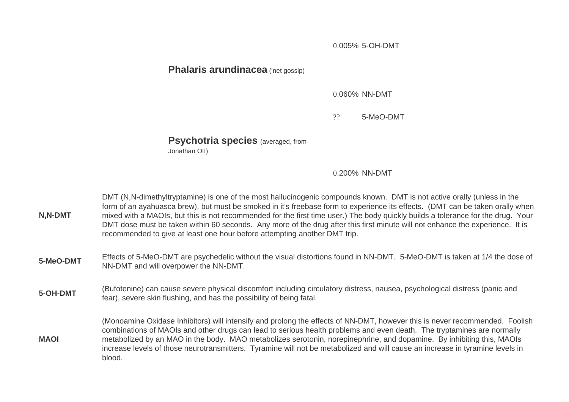### **Phalaris arundinacea** ('net gossip)

#### 0.060% NN-DMT

?? 5-MeO-DMT

### **Psychotria species** (averaged, from

Jonathan Ott)

#### 0.200% NN-DMT

| N,N-DMT     | DMT (N,N-dimethyltryptamine) is one of the most hallucinogenic compounds known. DMT is not active orally (unless in the<br>form of an ayahuasca brew), but must be smoked in it's freebase form to experience its effects. (DMT can be taken orally when<br>mixed with a MAOIs, but this is not recommended for the first time user.) The body quickly builds a tolerance for the drug. Your<br>DMT dose must be taken within 60 seconds. Any more of the drug after this first minute will not enhance the experience. It is<br>recommended to give at least one hour before attempting another DMT trip. |
|-------------|------------------------------------------------------------------------------------------------------------------------------------------------------------------------------------------------------------------------------------------------------------------------------------------------------------------------------------------------------------------------------------------------------------------------------------------------------------------------------------------------------------------------------------------------------------------------------------------------------------|
| 5-MeO-DMT   | Effects of 5-MeO-DMT are psychedelic without the visual distortions found in NN-DMT. 5-MeO-DMT is taken at 1/4 the dose of<br>NN-DMT and will overpower the NN-DMT.                                                                                                                                                                                                                                                                                                                                                                                                                                        |
| 5-OH-DMT    | (Bufotenine) can cause severe physical discomfort including circulatory distress, nausea, psychological distress (panic and<br>fear), severe skin flushing, and has the possibility of being fatal.                                                                                                                                                                                                                                                                                                                                                                                                        |
| <b>MAOI</b> | (Monoamine Oxidase Inhibitors) will intensify and prolong the effects of NN-DMT, however this is never recommended. Foolish<br>combinations of MAOIs and other drugs can lead to serious health problems and even death. The tryptamines are normally<br>metabolized by an MAO in the body. MAO metabolizes serotonin, norepinephrine, and dopamine. By inhibiting this, MAOIs<br>increase levels of those neurotransmitters. Tyramine will not be metabolized and will cause an increase in tyramine levels in<br>blood.                                                                                  |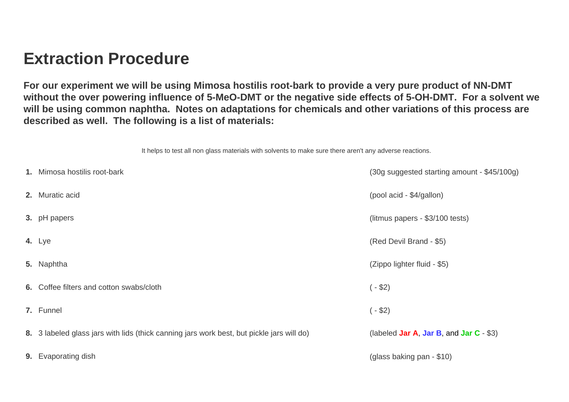# **Extraction Procedure**

**For our experiment we will be using Mimosa hostilis root-bark to provide a very pure product of NN-DMT without the over powering influence of 5-MeO-DMT or the negative side effects of 5-OH-DMT. For a solvent we will be using common naphtha. Notes on adaptations for chemicals and other variations of this process are described as well. The following is a list of materials:**

It helps to test all non glass materials with solvents to make sure there aren't any adverse reactions.

| 1. Mimosa hostilis root-bark                                                              | (30g suggested starting amount - \$45/100g) |
|-------------------------------------------------------------------------------------------|---------------------------------------------|
| 2. Muratic acid                                                                           | (pool acid - \$4/gallon)                    |
| 3. pH papers                                                                              | (litmus papers - \$3/100 tests)             |
| <b>4.</b> Lye                                                                             | (Red Devil Brand - \$5)                     |
| 5. Naphtha                                                                                | (Zippo lighter fluid - \$5)                 |
| 6. Coffee filters and cotton swabs/cloth                                                  | $(-\$2)$                                    |
| 7. Funnel                                                                                 | $(-\$2)$                                    |
| 8. 3 labeled glass jars with lids (thick canning jars work best, but pickle jars will do) | (labeled Jar A, Jar B, and Jar $C - $3$ )   |
| 9. Evaporating dish                                                                       | (glass baking pan - \$10)                   |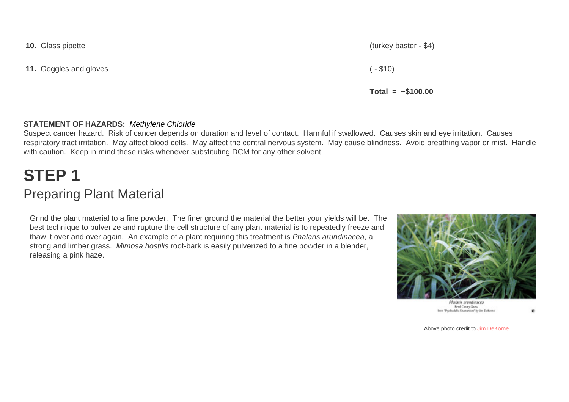**11.** Goggles and gloves ( - \$10)

**10.** Glass pipette (turkey baster - \$4)

**Total = ~\$100.00**

### **STATEMENT OF HAZARDS:** *Methylene Chloride*

Suspect cancer hazard. Risk of cancer depends on duration and level of contact. Harmful if swallowed. Causes skin and eye irritation. Causes respiratory tract irritation. May affect blood cells. May affect the central nervous system. May cause blindness. Avoid breathing vapor or mist. Handle with caution. Keep in mind these risks whenever substituting DCM for any other solvent.

## **STEP 1** Preparing Plant Material

Grind the plant material to a fine powder. The finer ground the material the better your yields will be. The best technique to pulverize and rupture the cell structure of any plant material is to repeatedly freeze and thaw it over and over again. An example of a plant requiring this treatment is *Phalaris arundinacea*, a strong and limber grass. *Mimosa hostilis* root-bark is easily pulverized to a fine powder in a blender, releasing a pink haze.



Phalaris arandinacea Reed Canary Grass from 'Psychodelic Shamanism' by Jim DeKome

Above photo credit to [Jim DeKorne](http://www.erowid.org/library/books/psychedelic_shamanism.shtml)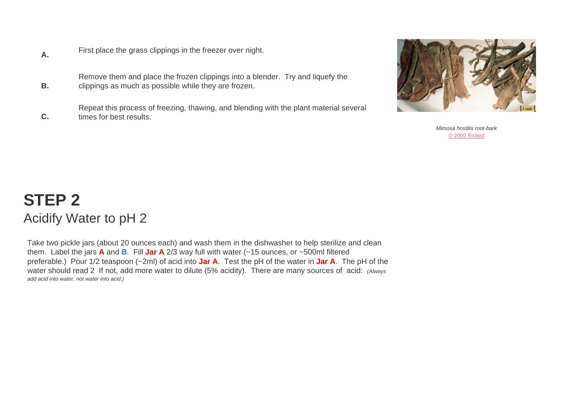**A.** First place the grass clippings in the freezer over night.

Remove them and place the frozen clippings into a blender. Try and liquefy the clippings as much as possible while they are frozen.

Repeat this process of freezing, thawing, and blending with the plant material several times for best results.



*Mimosa hostilis root-bark* [© 2000 Erowid](http://www.freespeech.org/quantumtantra/www.erowid.org)

# **STEP 2** Acidify Water to pH 2

**B.**

**C.**

Take two pickle jars (about 20 ounces each) and wash them in the dishwasher to help sterilize and clean them. Label the jars **A** and **B**. Fill **Jar A** 2/3 way full with water (~15 ounces, or ~500ml filtered preferable.) Pour 1/2 teaspoon (~2ml) of acid into **Jar A**. Test the pH of the water in **Jar A**. The pH of the water should read 2 If not, add more water to dilute (5% acidity). There are many sources of acid: *(Always add acid into water, not water into acid.)*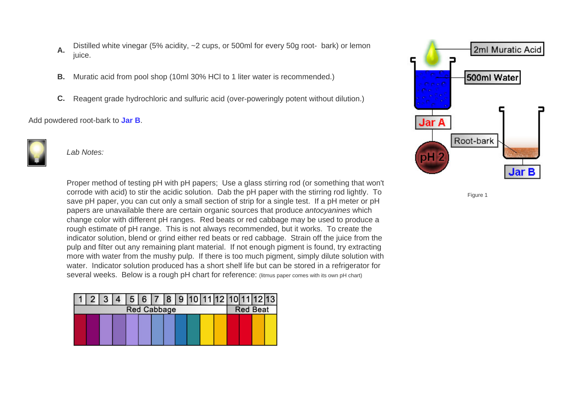- **A.** Distilled white vinegar (5% acidity, ~2 cups, or 500ml for every 50g root- bark) or lemon juice.
- **B.** Muratic acid from pool shop (10ml 30% HCl to 1 liter water is recommended.)
- **C.** Reagent grade hydrochloric and sulfuric acid (over-poweringly potent without dilution.)

Add powdered root-bark to **Jar B**.



*Lab Notes:*

Proper method of testing pH with pH papers; Use a glass stirring rod (or something that won't corrode with acid) to stir the acidic solution. Dab the pH paper with the stirring rod lightly. To save pH paper, you can cut only a small section of strip for a single test. If a pH meter or pH papers are unavailable there are certain organic sources that produce *antocyanines* which change color with different pH ranges. Red beats or red cabbage may be used to produce a rough estimate of pH range. This is not always recommended, but it works. To create the indicator solution, blend or grind either red beats or red cabbage. Strain off the juice from the pulp and filter out any remaining plant material. If not enough pigment is found, try extracting more with water from the mushy pulp. If there is too much pigment, simply dilute solution with water. Indicator solution produced has a short shelf life but can be stored in a refrigerator for several weeks. Below is a rough pH chart for reference: (litmus paper comes with its own pH chart)

| 6 7 8              |  | 9 10 11 12 10 11 12 13 |
|--------------------|--|------------------------|
| <b>Red Cabbage</b> |  | <b>Red Beat</b>        |
|                    |  |                        |
|                    |  |                        |
|                    |  |                        |



Figure 1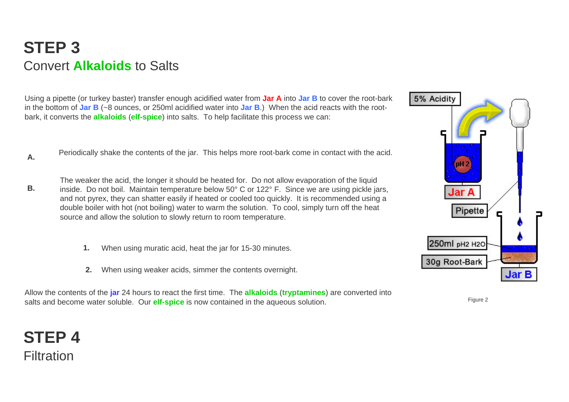# **STEP 3** Convert **Alkaloids** to Salts

Using a pipette (or turkey baster) transfer enough acidified water from **Jar A** into **Jar B** to cover the root-bark in the bottom of **Jar B** (~8 ounces, or 250ml acidified water into **Jar B**.) When the acid reacts with the rootbark, it converts the **alkaloids** (**elf-spice**) into salts. To help facilitate this process we can:

**A.** Periodically shake the contents of the jar. This helps more root-bark come in contact with the acid.

**B.** The weaker the acid, the longer it should be heated for. Do not allow evaporation of the liquid inside. Do not boil. Maintain temperature below 50° C or 122° F. Since we are using pickle jars, and not pyrex, they can shatter easily if heated or cooled too quickly. It is recommended using a double boiler with hot (not boiling) water to warm the solution. To cool, simply turn off the heat source and allow the solution to slowly return to room temperature.

- **1.** When using muratic acid, heat the jar for 15-30 minutes.
- **2.** When using weaker acids, simmer the contents overnight.

Allow the contents of the **jar** 24 hours to react the first time. The **alkaloids** (**tryptamines**) are converted into salts and become water soluble. Our **elf-spice** is now contained in the aqueous solution.



Figure 2

### **STEP 4 Filtration**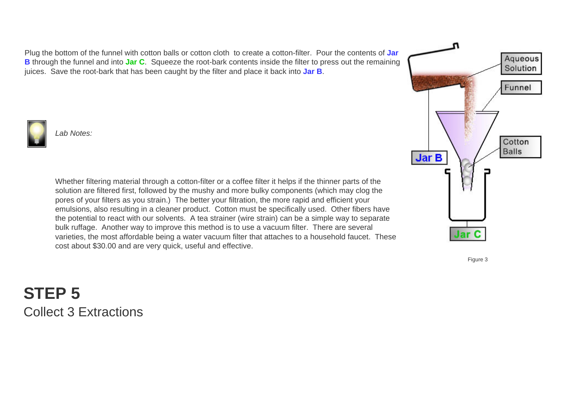Plug the bottom of the funnel with cotton balls or cotton cloth to create a cotton-filter. Pour the contents of **Jar B** through the funnel and into **Jar C**. Squeeze the root-bark contents inside the filter to press out the remaining juices. Save the root-bark that has been caught by the filter and place it back into **Jar B**.

*Lab Notes:*

Whether filtering material through a cotton-filter or a coffee filter it helps if the thinner parts of the solution are filtered first, followed by the mushy and more bulky components (which may clog the pores of your filters as you strain.) The better your filtration, the more rapid and efficient your emulsions, also resulting in a cleaner product. Cotton must be specifically used. Other fibers have the potential to react with our solvents. A tea strainer (wire strain) can be a simple way to separate bulk ruffage. Another way to improve this method is to use a vacuum filter. There are several varieties, the most affordable being a water vacuum filter that attaches to a household faucet. These cost about \$30.00 and are very quick, useful and effective.



Figure 3

# **STEP 5** Collect 3 Extractions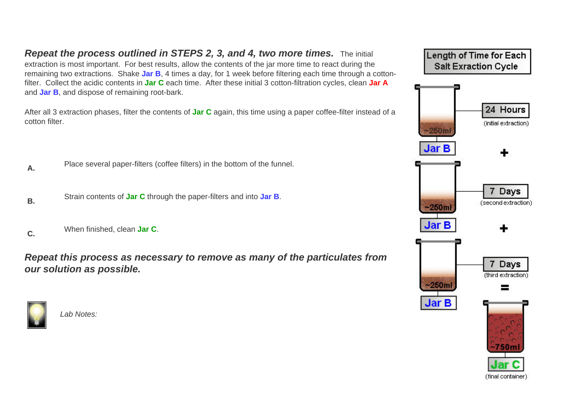*Repeat the process outlined in STEPS 2, 3, and 4, two more times.* The initial extraction is most important. For best results, allow the contents of the jar more time to react during the remaining two extractions. Shake **Jar B**, 4 times a day, for 1 week before filtering each time through a cottonfilter. Collect the acidic contents in **Jar C** each time. After these initial 3 cotton-filtration cycles, clean **Jar A** and **Jar B**, and dispose of remaining root-bark.

After all 3 extraction phases, filter the contents of **Jar C** again, this time using a paper coffee-filter instead of a cotton filter.

- 
- **A.** Place several paper-filters (coffee filters) in the bottom of the funnel.
- 
- **B.** Strain contents of **Jar C** through the paper-filters and into **Jar B**.
- **C.** When finished, clean **Jar C**.

*Repeat this process as necessary to remove as many of the particulates from our solution as possible.*



*Lab Notes:*

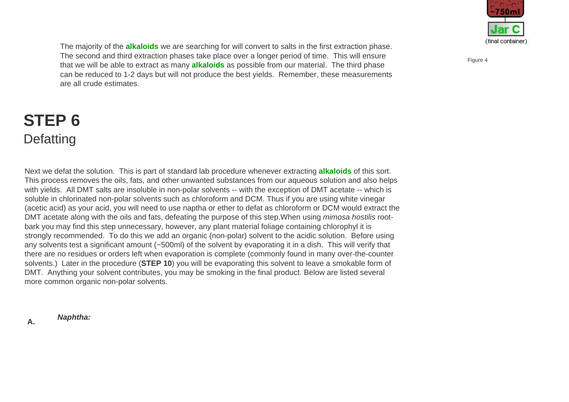

The majority of the **alkaloids** we are searching for will convert to salts in the first extraction phase. The second and third extraction phases take place over a longer period of time. This will ensure that we will be able to extract as many **alkaloids** as possible from our material. The third phase can be reduced to 1-2 days but will not produce the best yields. Remember, these measurements are all crude estimates.

# **STEP 6** Defatting

Next we defat the solution. This is part of standard lab procedure whenever extracting **alkaloids** of this sort. This process removes the oils, fats, and other unwanted substances from our aqueous solution and also helps with yields. All DMT salts are insoluble in non-polar solvents -- with the exception of DMT acetate -- which is soluble in chlorinated non-polar solvents such as chloroform and DCM. Thus if you are using white vinegar (acetic acid) as your acid, you will need to use naptha or ether to defat as chloroform or DCM would extract the DMT acetate along with the oils and fats, defeating the purpose of this step.When using *mimosa hostilis* rootbark you may find this step unnecessary, however, any plant material foliage containing chlorophyl it is strongly recommended. To do this we add an organic (non-polar) solvent to the acidic solution. Before using any solvents test a significant amount (~500ml) of the solvent by evaporating it in a dish. This will verify that there are no residues or orders left when evaporation is complete (commonly found in many over-the-counter solvents.) Later in the procedure (**STEP 10**) you will be evaporating this solvent to leave a smokable form of DMT. Anything your solvent contributes, you may be smoking in the final product. Below are listed several more common organic non-polar solvents.

**A.** *Naphtha:* 

Figure 4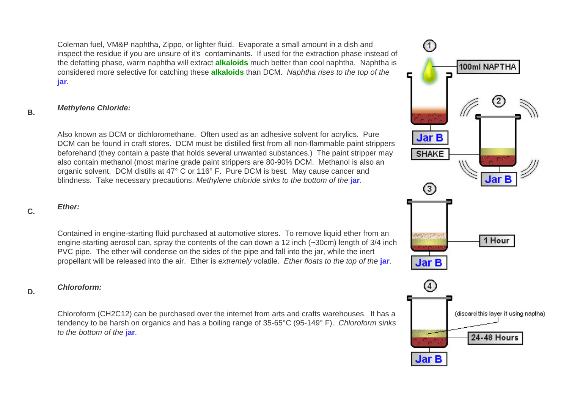Coleman fuel, VM&P naphtha, Zippo, or lighter fluid. Evaporate a small amount in a dish and inspect the residue if you are unsure of it's contaminants. If used for the extraction phase instead of the defatting phase, warm naphtha will extract **alkaloids** much better than cool naphtha. Naphtha is considered more selective for catching these **alkaloids** than DCM. *Naphtha rises to the top of the*  **jar***.*

### **B.** *Methylene Chloride:*

Also known as DCM or dichloromethane. Often used as an adhesive solvent for acrylics. Pure DCM can be found in craft stores. DCM must be distilled first from all non-flammable paint strippers beforehand (they contain a paste that holds several unwanted substances.) The paint stripper may also contain methanol (most marine grade paint strippers are 80-90% DCM. Methanol is also an organic solvent. DCM distills at 47° C or 116° F. Pure DCM is best. May cause cancer and blindness. Take necessary precautions. *Methylene chloride sinks to the bottom of the* **jar**.

### **C.** *Ether:*

Contained in engine-starting fluid purchased at automotive stores. To remove liquid ether from an engine-starting aerosol can, spray the contents of the can down a 12 inch (~30cm) length of 3/4 inch PVC pipe. The ether will condense on the sides of the pipe and fall into the jar, while the inert propellant will be released into the air. Ether is *extremely* volatile. *Ether floats to the top of the* **jar**.

### **D.** *Chloroform:*

Chloroform (CH2C12) can be purchased over the internet from arts and crafts warehouses. It has a tendency to be harsh on organics and has a boiling range of 35-65°C (95-149° F). *Chloroform sinks to the bottom of the* **jar**.

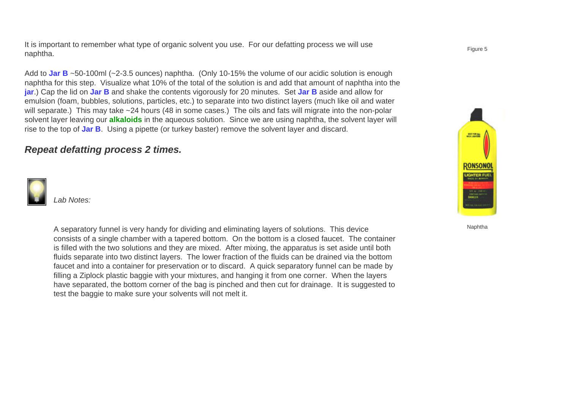It is important to remember what type of organic solvent you use. For our defatting process we will use naphtha.

Add to Jar B ~50-100ml (~2-3.5 ounces) naphtha. (Only 10-15% the volume of our acidic solution is enough naphtha for this step. Visualize what 10% of the total of the solution is and add that amount of naphtha into the **jar**.) Cap the lid on **Jar B** and shake the contents vigorously for 20 minutes. Set **Jar B** aside and allow for emulsion (foam, bubbles, solutions, particles, etc.) to separate into two distinct layers (much like oil and water will separate.) This may take ~24 hours (48 in some cases.) The oils and fats will migrate into the non-polar solvent layer leaving our **alkaloids** in the aqueous solution. Since we are using naphtha, the solvent layer will rise to the top of **Jar B**. Using a pipette (or turkey baster) remove the solvent layer and discard.

### *Repeat defatting process 2 times.*



*Lab Notes:*

A separatory funnel is very handy for dividing and eliminating layers of solutions. This device consists of a single chamber with a tapered bottom. On the bottom is a closed faucet. The container is filled with the two solutions and they are mixed. After mixing, the apparatus is set aside until both fluids separate into two distinct layers. The lower fraction of the fluids can be drained via the bottom faucet and into a container for preservation or to discard. A quick separatory funnel can be made by filling a Ziplock plastic baggie with your mixtures, and hanging it from one corner. When the layers have separated, the bottom corner of the bag is pinched and then cut for drainage. It is suggested to test the baggie to make sure your solvents will not melt it.



Naphtha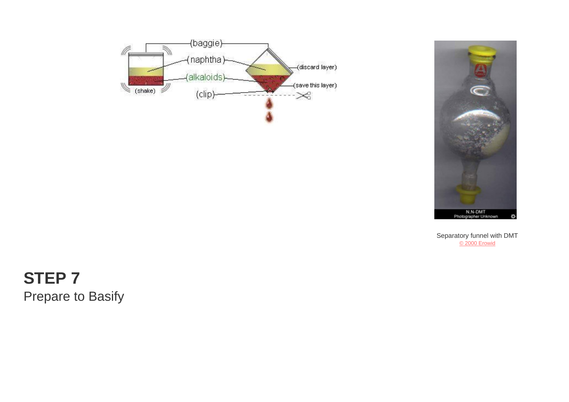



Separatory funnel with DMT [© 2000 Erowid](http://www.freespeech.org/quantumtantra/www.erowid.org)

# **STEP 7** Prepare to Basify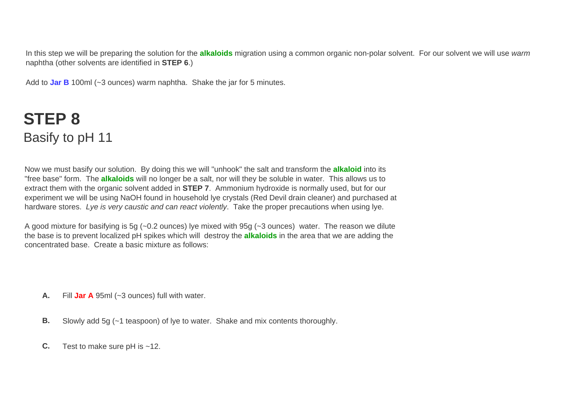In this step we will be preparing the solution for the **alkaloids** migration using a common organic non-polar solvent. For our solvent we will use *warm*  naphtha (other solvents are identified in **STEP 6**.)

Add to **Jar B** 100ml (~3 ounces) warm naphtha. Shake the jar for 5 minutes.

**STEP 8** Basify to pH 11

Now we must basify our solution. By doing this we will "unhook" the salt and transform the **alkaloid** into its "free base" form. The **alkaloids** will no longer be a salt, nor will they be soluble in water. This allows us to extract them with the organic solvent added in **STEP 7**. Ammonium hydroxide is normally used, but for our experiment we will be using NaOH found in household lye crystals (Red Devil drain cleaner) and purchased at hardware stores. *Lye is very caustic and can react violently*. Take the proper precautions when using lye.

A good mixture for basifying is 5g (~0.2 ounces) lye mixed with 95g (~3 ounces) water. The reason we dilute the base is to prevent localized pH spikes which will destroy the **alkaloids** in the area that we are adding the concentrated base. Create a basic mixture as follows:

- **A.** Fill **Jar A** 95ml (~3 ounces) full with water.
- **B.** Slowly add 5g (~1 teaspoon) of lye to water. Shake and mix contents thoroughly.
- **C.** Test to make sure pH is ~12.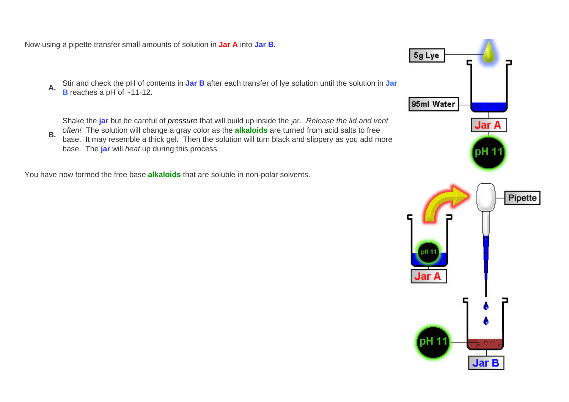Now using a pipette transfer small amounts of solution in **Jar A** into **Jar B**.

 **A.** Stir and check the pH of contents in **Jar B** after each transfer of lye solution until the solution in **Jar B** reaches a pH of  $~11-12$ .

Shake the **jar** but be careful of *pressure* that will build up inside the jar. *Release the lid and vent* 

- **B.** *often!* The solution will change a gray color as the **alkaloids** are turned from acid salts to free
- base. It may resemble a thick gel. Then the solution will turn black and slippery as you add more base. The **jar** will *heat* up during this process.

You have now formed the free base **alkaloids** that are soluble in non-polar solvents.

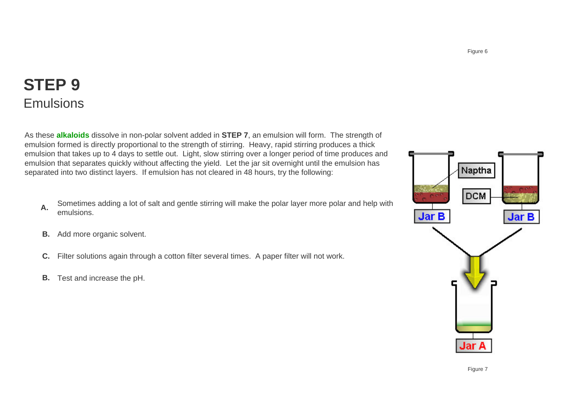# **STEP 9 Emulsions**

As these **alkaloids** dissolve in non-polar solvent added in **STEP 7**, an emulsion will form. The strength of emulsion formed is directly proportional to the strength of stirring. Heavy, rapid stirring produces a thick emulsion that takes up to 4 days to settle out. Light, slow stirring over a longer period of time produces and emulsion that separates quickly without affecting the yield. Let the jar sit overnight until the emulsion has separated into two distinct layers. If emulsion has not cleared in 48 hours, try the following:

- **A.** Sometimes adding a lot of salt and gentle stirring will make the polar layer more polar and help with emulsions.
- **B.** Add more organic solvent.
- **C.** Filter solutions again through a cotton filter several times. A paper filter will not work.
- **B.** Test and increase the pH.

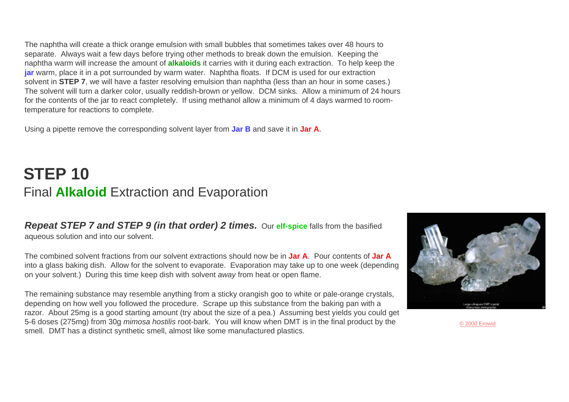The naphtha will create a thick orange emulsion with small bubbles that sometimes takes over 48 hours to separate. Always wait a few days before trying other methods to break down the emulsion. Keeping the naphtha warm will increase the amount of **alkaloids** it carries with it during each extraction. To help keep the **jar** warm, place it in a pot surrounded by warm water. Naphtha floats. If DCM is used for our extraction solvent in **STEP 7**, we will have a faster resolving emulsion than naphtha (less than an hour in some cases.) The solvent will turn a darker color, usually reddish-brown or yellow. DCM sinks. Allow a minimum of 24 hours for the contents of the jar to react completely. If using methanol allow a minimum of 4 days warmed to roomtemperature for reactions to complete.

Using a pipette remove the corresponding solvent layer from **Jar B** and save it in **Jar A**.

# **STEP 10** Final **Alkaloid** Extraction and Evaporation

*Repeat STEP 7 and STEP 9 (in that order) 2 times.* Our **elf-spice** falls from the basified aqueous solution and into our solvent.

The combined solvent fractions from our solvent extractions should now be in **Jar A**. Pour contents of **Jar A** into a glass baking dish. Allow for the solvent to evaporate. Evaporation may take up to one week (depending on your solvent.) During this time keep dish with solvent *away* from heat or open flame.

The remaining substance may resemble anything from a sticky orangish goo to white or pale-orange crystals, depending on how well you followed the procedure. Scrape up this substance from the baking pan with a razor. About 25mg is a good starting amount (try about the size of a pea.) Assuming best yields you could get 5-6 doses (275mg) from 30g *mimosa hostilis* root-bark. You will know when DMT is in the final product by the smell. DMT has a distinct synthetic smell, almost like some manufactured plastics.



[© 2000 Erowid](http://www.freespeech.org/quantumtantra/www.erowid.org)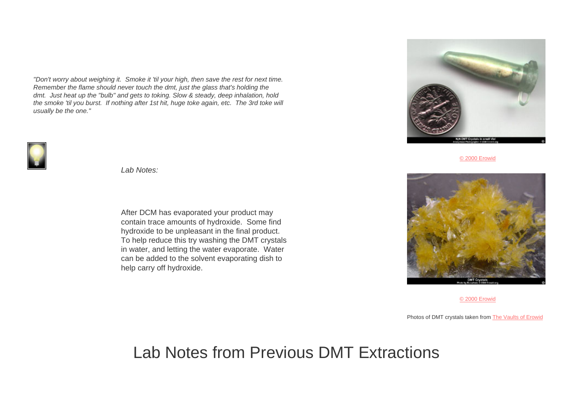*"Don't worry about weighing it. Smoke it 'til your high, then save the rest for next time. Remember the flame should never touch the dmt, just the glass that's holding the dmt. Just heat up the "bulb" and gets to toking. Slow & steady, deep inhalation, hold the smoke 'til you burst. If nothing after 1st hit, huge toke again, etc. The 3rd toke will usually be the one."*



*Lab Notes:*

After DCM has evaporated your product may contain trace amounts of hydroxide. Some find hydroxide to be unpleasant in the final product. To help reduce this try washing the DMT crystals in water, and letting the water evaporate. Water can be added to the solvent evaporating dish to help carry off hydroxide.



[© 2000 Erowid](http://www.freespeech.org/quantumtantra/www.erowid.org)



[© 2000 Erowid](http://www.freespeech.org/quantumtantra/www.erowid.org)

Photos of DMT crystals taken from [The Vaults of Erowid](http://www.freespeech.org/quantumtantra/www.erowid.org)

Lab Notes from Previous DMT Extractions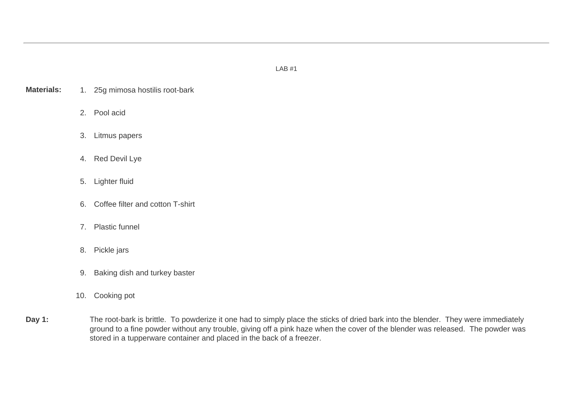LAB #1

- Materials: 1. 25g mimosa hostilis root-bark
	- 2. Pool acid
	- 3. Litmus papers
	- 4. Red Devil Lye
	- 5. Lighter fluid
	- 6. Coffee filter and cotton T-shirt
	- 7. Plastic funnel
	- 8. Pickle jars
	- 9. Baking dish and turkey baster

### 10. Cooking pot

Day 1: The root-bark is brittle. To powderize it one had to simply place the sticks of dried bark into the blender. They were immediately ground to a fine powder without any trouble, giving off a pink haze when the cover of the blender was released. The powder was stored in a tupperware container and placed in the back of a freezer.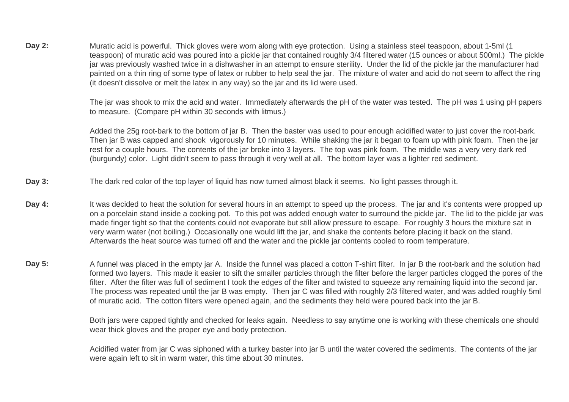**Day 2:** Muratic acid is powerful. Thick gloves were worn along with eye protection. Using a stainless steel teaspoon, about 1-5ml (1 teaspoon) of muratic acid was poured into a pickle jar that contained roughly 3/4 filtered water (15 ounces or about 500ml.) The pickle jar was previously washed twice in a dishwasher in an attempt to ensure sterility. Under the lid of the pickle jar the manufacturer had painted on a thin ring of some type of latex or rubber to help seal the jar. The mixture of water and acid do not seem to affect the ring (it doesn't dissolve or melt the latex in any way) so the jar and its lid were used.

> The jar was shook to mix the acid and water. Immediately afterwards the pH of the water was tested. The pH was 1 using pH papers to measure. (Compare pH within 30 seconds with litmus.)

> Added the 25g root-bark to the bottom of jar B. Then the baster was used to pour enough acidified water to just cover the root-bark. Then jar B was capped and shook vigorously for 10 minutes. While shaking the jar it began to foam up with pink foam. Then the jar rest for a couple hours. The contents of the jar broke into 3 layers. The top was pink foam. The middle was a very very dark red (burgundy) color. Light didn't seem to pass through it very well at all. The bottom layer was a lighter red sediment.

- **Day 3:** The dark red color of the top layer of liquid has now turned almost black it seems. No light passes through it.
- **Day 4:** It was decided to heat the solution for several hours in an attempt to speed up the process. The jar and it's contents were propped up on a porcelain stand inside a cooking pot. To this pot was added enough water to surround the pickle jar. The lid to the pickle jar was made finger tight so that the contents could not evaporate but still allow pressure to escape. For roughly 3 hours the mixture sat in very warm water (not boiling.) Occasionally one would lift the jar, and shake the contents before placing it back on the stand. Afterwards the heat source was turned off and the water and the pickle jar contents cooled to room temperature.
- **Day 5:** A funnel was placed in the empty jar A. Inside the funnel was placed a cotton T-shirt filter. In jar B the root-bark and the solution had formed two layers. This made it easier to sift the smaller particles through the filter before the larger particles clogged the pores of the filter. After the filter was full of sediment I took the edges of the filter and twisted to squeeze any remaining liquid into the second jar. The process was repeated until the jar B was empty. Then jar C was filled with roughly 2/3 filtered water, and was added roughly 5ml of muratic acid. The cotton filters were opened again, and the sediments they held were poured back into the jar B.

Both jars were capped tightly and checked for leaks again. Needless to say anytime one is working with these chemicals one should wear thick gloves and the proper eye and body protection.

Acidified water from jar C was siphoned with a turkey baster into jar B until the water covered the sediments. The contents of the jar were again left to sit in warm water, this time about 30 minutes.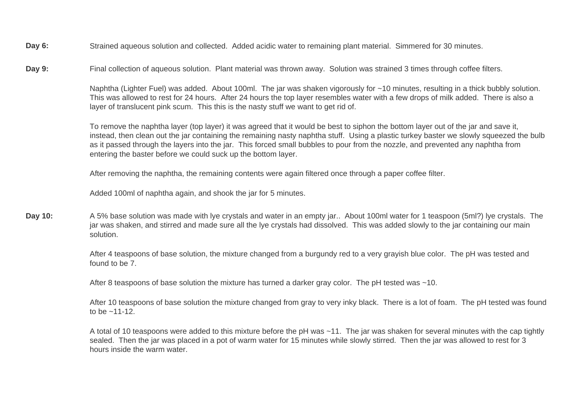- **Day 6:** Strained aqueous solution and collected. Added acidic water to remaining plant material. Simmered for 30 minutes.
- **Day 9:** Final collection of aqueous solution. Plant material was thrown away. Solution was strained 3 times through coffee filters.

Naphtha (Lighter Fuel) was added. About 100ml. The jar was shaken vigorously for ~10 minutes, resulting in a thick bubbly solution. This was allowed to rest for 24 hours. After 24 hours the top layer resembles water with a few drops of milk added. There is also a layer of translucent pink scum. This this is the nasty stuff we want to get rid of.

To remove the naphtha layer (top layer) it was agreed that it would be best to siphon the bottom layer out of the jar and save it, instead, then clean out the jar containing the remaining nasty naphtha stuff. Using a plastic turkey baster we slowly squeezed the bulb as it passed through the layers into the jar. This forced small bubbles to pour from the nozzle, and prevented any naphtha from entering the baster before we could suck up the bottom layer.

After removing the naphtha, the remaining contents were again filtered once through a paper coffee filter.

Added 100ml of naphtha again, and shook the jar for 5 minutes.

**Day 10:** A 5% base solution was made with lye crystals and water in an empty jar.. About 100ml water for 1 teaspoon (5ml?) lye crystals. The jar was shaken, and stirred and made sure all the lye crystals had dissolved. This was added slowly to the jar containing our main solution.

> After 4 teaspoons of base solution, the mixture changed from a burgundy red to a very grayish blue color. The pH was tested and found to be 7.

After 8 teaspoons of base solution the mixture has turned a darker gray color. The pH tested was ~10.

After 10 teaspoons of base solution the mixture changed from gray to very inky black. There is a lot of foam. The pH tested was found to be  $~11-12$ .

A total of 10 teaspoons were added to this mixture before the pH was ~11. The jar was shaken for several minutes with the cap tightly sealed. Then the jar was placed in a pot of warm water for 15 minutes while slowly stirred. Then the jar was allowed to rest for 3 hours inside the warm water.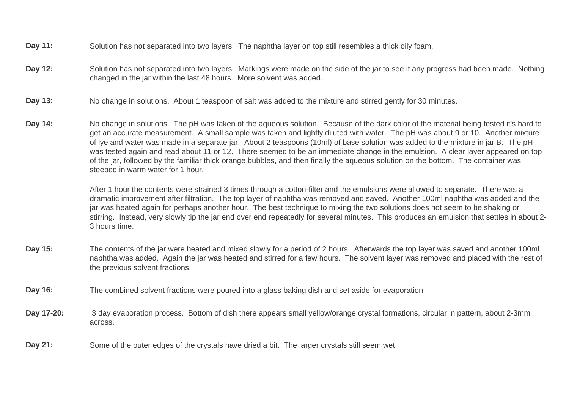- **Day 11:** Solution has not separated into two layers. The naphtha layer on top still resembles a thick oily foam.
- **Day 12:** Solution has not separated into two layers. Markings were made on the side of the jar to see if any progress had been made. Nothing changed in the jar within the last 48 hours. More solvent was added.
- **Day 13:** No change in solutions. About 1 teaspoon of salt was added to the mixture and stirred gently for 30 minutes.
- Day 14: No change in solutions. The pH was taken of the aqueous solution. Because of the dark color of the material being tested it's hard to get an accurate measurement. A small sample was taken and lightly diluted with water. The pH was about 9 or 10. Another mixture of lye and water was made in a separate jar. About 2 teaspoons (10ml) of base solution was added to the mixture in jar B. The pH was tested again and read about 11 or 12. There seemed to be an immediate change in the emulsion. A clear layer appeared on top of the jar, followed by the familiar thick orange bubbles, and then finally the aqueous solution on the bottom. The container was steeped in warm water for 1 hour.

After 1 hour the contents were strained 3 times through a cotton-filter and the emulsions were allowed to separate. There was a dramatic improvement after filtration. The top layer of naphtha was removed and saved. Another 100ml naphtha was added and the jar was heated again for perhaps another hour. The best technique to mixing the two solutions does not seem to be shaking or stirring. Instead, very slowly tip the jar end over end repeatedly for several minutes. This produces an emulsion that settles in about 2- 3 hours time.

- **Day 15:** The contents of the jar were heated and mixed slowly for a period of 2 hours. Afterwards the top layer was saved and another 100ml naphtha was added. Again the jar was heated and stirred for a few hours. The solvent layer was removed and placed with the rest of the previous solvent fractions.
- **Day 16:** The combined solvent fractions were poured into a glass baking dish and set aside for evaporation.
- **Day 17-20:** 3 day evaporation process. Bottom of dish there appears small yellow/orange crystal formations, circular in pattern, about 2-3mm across.
- **Day 21:** Some of the outer edges of the crystals have dried a bit. The larger crystals still seem wet.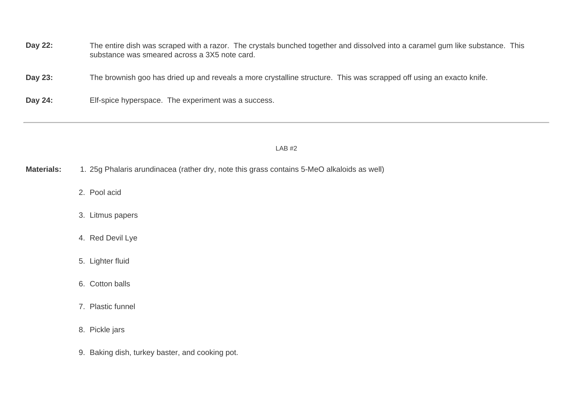- **Day 22:** The entire dish was scraped with a razor. The crystals bunched together and dissolved into a caramel gum like substance. This substance was smeared across a 3X5 note card.
- **Day 23:** The brownish goo has dried up and reveals a more crystalline structure. This was scrapped off using an exacto knife.
- Day 24: Elf-spice hyperspace. The experiment was a success.

#### LAB #2

- **Materials:** 1. 25g Phalaris arundinacea (rather dry, note this grass contains 5-MeO alkaloids as well)
	- 2. Pool acid
	- 3. Litmus papers
	- 4. Red Devil Lye
	- 5. Lighter fluid
	- 6. Cotton balls
	- 7. Plastic funnel
	- 8. Pickle jars
	- 9. Baking dish, turkey baster, and cooking pot.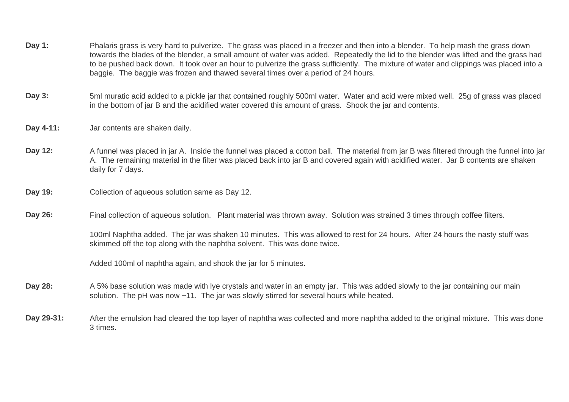- **Day 1:** Phalaris grass is very hard to pulverize. The grass was placed in a freezer and then into a blender. To help mash the grass down towards the blades of the blender, a small amount of water was added. Repeatedly the lid to the blender was lifted and the grass had to be pushed back down. It took over an hour to pulverize the grass sufficiently. The mixture of water and clippings was placed into a baggie. The baggie was frozen and thawed several times over a period of 24 hours.
- **Day 3:** 5ml muratic acid added to a pickle jar that contained roughly 500ml water. Water and acid were mixed well. 25g of grass was placed in the bottom of jar B and the acidified water covered this amount of grass. Shook the jar and contents.
- **Day 4-11:** Jar contents are shaken daily.
- **Day 12:** A funnel was placed in jar A. Inside the funnel was placed a cotton ball. The material from jar B was filtered through the funnel into jar A. The remaining material in the filter was placed back into jar B and covered again with acidified water. Jar B contents are shaken daily for 7 days.
- **Day 19:** Collection of aqueous solution same as Day 12.
- **Day 26:** Final collection of aqueous solution. Plant material was thrown away. Solution was strained 3 times through coffee filters.

100ml Naphtha added. The jar was shaken 10 minutes. This was allowed to rest for 24 hours. After 24 hours the nasty stuff was skimmed off the top along with the naphtha solvent. This was done twice.

Added 100ml of naphtha again, and shook the jar for 5 minutes.

- **Day 28:** A 5% base solution was made with lye crystals and water in an empty jar. This was added slowly to the jar containing our main solution. The pH was now ~11. The jar was slowly stirred for several hours while heated.
- **Day 29-31:** After the emulsion had cleared the top layer of naphtha was collected and more naphtha added to the original mixture. This was done 3 times.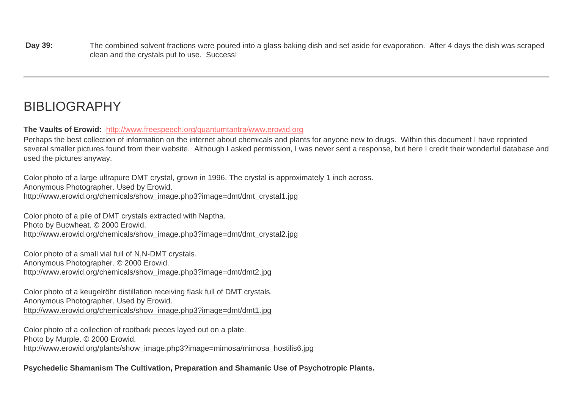**Day 39:** The combined solvent fractions were poured into a glass baking dish and set aside for evaporation. After 4 days the dish was scraped clean and the crystals put to use. Success!

### BIBLIOGRAPHY

**The Vaults of Erowid:** <http://www.freespeech.org/quantumtantra/www.erowid.org>

Perhaps the best collection of information on the internet about chemicals and plants for anyone new to drugs. Within this document I have reprinted several smaller pictures found from their website. Although I asked permission, I was never sent a response, but here I credit their wonderful database and used the pictures anyway.

Color photo of a large ultrapure DMT crystal, grown in 1996. The crystal is approximately 1 inch across. Anonymous Photographer. Used by Erowid. http://www.erowid.org/chemicals/show\_image.php3?image=dmt/dmt\_crystal1.jpg

Color photo of a pile of DMT crystals extracted with Naptha. Photo by Bucwheat. © 2000 Erowid. http://www.erowid.org/chemicals/show\_image.php3?image=dmt/dmt\_crystal2.jpg

Color photo of a small vial full of N,N-DMT crystals. Anonymous Photographer. © 2000 Erowid. http://www.erowid.org/chemicals/show\_image.php3?image=dmt/dmt2.jpg

Color photo of a keugelröhr distillation receiving flask full of DMT crystals. Anonymous Photographer. Used by Erowid. http://www.erowid.org/chemicals/show\_image.php3?image=dmt/dmt1.jpg

Color photo of a collection of rootbark pieces layed out on a plate. Photo by Murple. © 2000 Erowid. http://www.erowid.org/plants/show\_image.php3?image=mimosa/mimosa\_hostilis6.jpg

**Psychedelic Shamanism The Cultivation, Preparation and Shamanic Use of Psychotropic Plants.**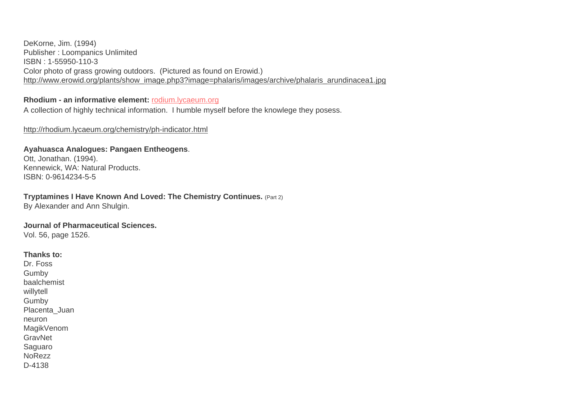DeKorne, Jim. (1994) Publisher : Loompanics Unlimited ISBN : 1-55950-110-3 Color photo of grass growing outdoors. (Pictured as found on Erowid.) http://www.erowid.org/plants/show\_image.php3?image=phalaris/images/archive/phalaris\_arundinacea1.jpg

### **Rhodium - an informative element:** [rodium.lycaeum.org](http://www.freespeech.org/quantumtantra/rodium.lycaeum.org)

A collection of highly technical information. I humble myself before the knowlege they posess.

#### http://rhodium.lycaeum.org/chemistry/ph-indicator.html

#### **Ayahuasca Analogues: Pangaen Entheogens**. Ott, Jonathan. (1994). Kennewick, WA: Natural Products. ISBN: 0-9614234-5-5

#### **Tryptamines I Have Known And Loved: The Chemistry Continues.** (Part 2) By Alexander and Ann Shulgin.

### **Journal of Pharmaceutical Sciences.**

Vol. 56, page 1526.

### **Thanks to:**

Dr. Foss Gumby baalchemist willytell Gumby Placenta\_Juan neuron MagikVenom **GravNet** Saguaro NoRezz D-4138